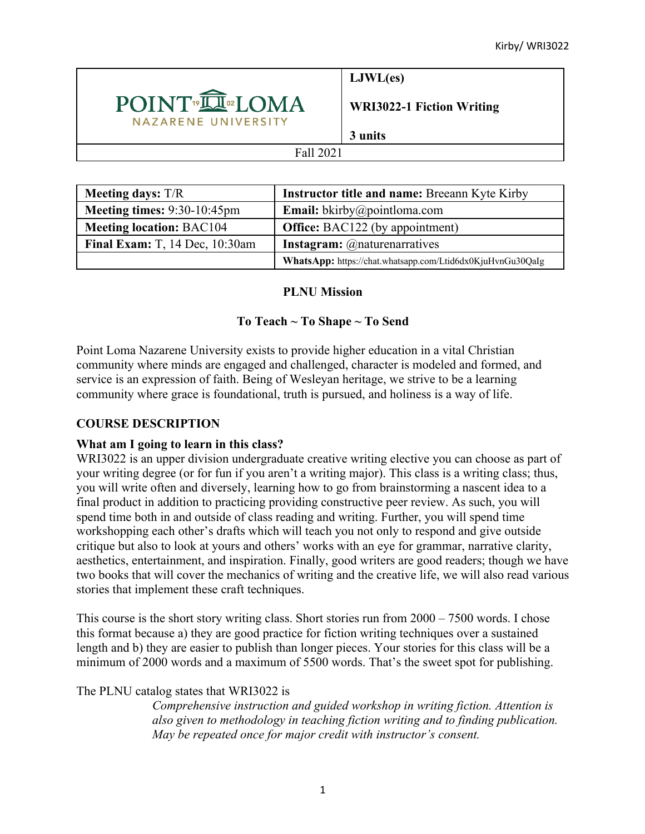

**LJWL(es)**

**WRI3022-1 Fiction Writing**

**3 units**

### Fall 2021

| <b>Meeting days:</b> T/R            | <b>Instructor title and name: Breeann Kyte Kirby</b>       |
|-------------------------------------|------------------------------------------------------------|
| Meeting times: $9:30-10:45$ pm      | <b>Email:</b> bkirby@pointloma.com                         |
| <b>Meeting location: BAC104</b>     | <b>Office:</b> BAC122 (by appointment)                     |
| Final Exam: T, $14$ Dec, $10:30$ am | <b>Instagram:</b> @naturenarratives                        |
|                                     | WhatsApp: https://chat.whatsapp.com/Ltid6dx0KjuHvnGu30QaIg |

## **PLNU Mission**

# **To Teach ~ To Shape ~ To Send**

Point Loma Nazarene University exists to provide higher education in a vital Christian community where minds are engaged and challenged, character is modeled and formed, and service is an expression of faith. Being of Wesleyan heritage, we strive to be a learning community where grace is foundational, truth is pursued, and holiness is a way of life.

# **COURSE DESCRIPTION**

# **What am I going to learn in this class?**

WRI3022 is an upper division undergraduate creative writing elective you can choose as part of your writing degree (or for fun if you aren't a writing major). This class is a writing class; thus, you will write often and diversely, learning how to go from brainstorming a nascent idea to a final product in addition to practicing providing constructive peer review. As such, you will spend time both in and outside of class reading and writing. Further, you will spend time workshopping each other's drafts which will teach you not only to respond and give outside critique but also to look at yours and others' works with an eye for grammar, narrative clarity, aesthetics, entertainment, and inspiration. Finally, good writers are good readers; though we have two books that will cover the mechanics of writing and the creative life, we will also read various stories that implement these craft techniques.

This course is the short story writing class. Short stories run from 2000 – 7500 words. I chose this format because a) they are good practice for fiction writing techniques over a sustained length and b) they are easier to publish than longer pieces. Your stories for this class will be a minimum of 2000 words and a maximum of 5500 words. That's the sweet spot for publishing.

## The PLNU catalog states that WRI3022 is

*Comprehensive instruction and guided workshop in writing fiction. Attention is also given to methodology in teaching fiction writing and to finding publication. May be repeated once for major credit with instructor's consent.*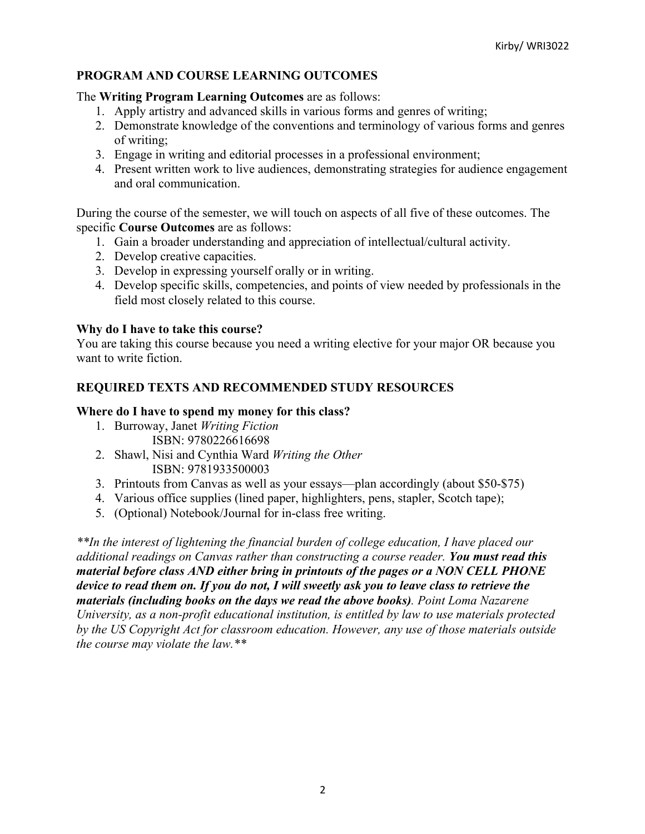# **PROGRAM AND COURSE LEARNING OUTCOMES**

The **Writing Program Learning Outcomes** are as follows:

- 1. Apply artistry and advanced skills in various forms and genres of writing;
- 2. Demonstrate knowledge of the conventions and terminology of various forms and genres of writing;
- 3. Engage in writing and editorial processes in a professional environment;
- 4. Present written work to live audiences, demonstrating strategies for audience engagement and oral communication.

During the course of the semester, we will touch on aspects of all five of these outcomes. The specific **Course Outcomes** are as follows:

- 1. Gain a broader understanding and appreciation of intellectual/cultural activity.
- 2. Develop creative capacities.
- 3. Develop in expressing yourself orally or in writing.
- 4. Develop specific skills, competencies, and points of view needed by professionals in the field most closely related to this course.

# **Why do I have to take this course?**

You are taking this course because you need a writing elective for your major OR because you want to write fiction.

# **REQUIRED TEXTS AND RECOMMENDED STUDY RESOURCES**

# **Where do I have to spend my money for this class?**

- 1. Burroway, Janet *Writing Fiction* ISBN: 9780226616698
- 2. Shawl, Nisi and Cynthia Ward *Writing the Other* ISBN: 9781933500003
- 3. Printouts from Canvas as well as your essays—plan accordingly (about \$50-\$75)
- 4. Various office supplies (lined paper, highlighters, pens, stapler, Scotch tape);
- 5. (Optional) Notebook/Journal for in-class free writing.

*\*\*In the interest of lightening the financial burden of college education, I have placed our additional readings on Canvas rather than constructing a course reader. You must read this material before class AND either bring in printouts of the pages or a NON CELL PHONE device to read them on. If you do not, I will sweetly ask you to leave class to retrieve the materials (including books on the days we read the above books). Point Loma Nazarene University, as a non-profit educational institution, is entitled by law to use materials protected by the US Copyright Act for classroom education. However, any use of those materials outside the course may violate the law.\*\**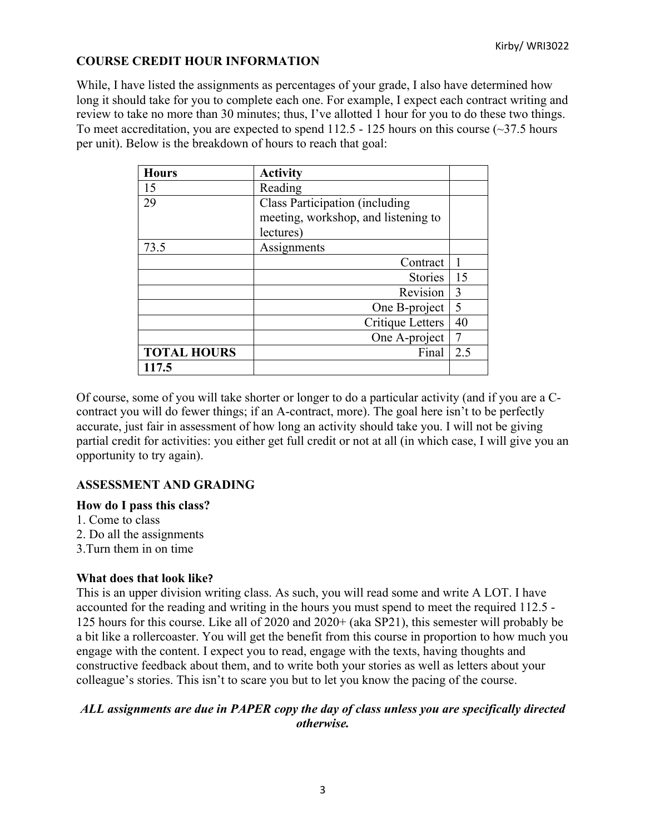# **COURSE CREDIT HOUR INFORMATION**

While, I have listed the assignments as percentages of your grade, I also have determined how long it should take for you to complete each one. For example, I expect each contract writing and review to take no more than 30 minutes; thus, I've allotted 1 hour for you to do these two things. To meet accreditation, you are expected to spend  $112.5 - 125$  hours on this course ( $\sim$ 37.5 hours per unit). Below is the breakdown of hours to reach that goal:

| <b>Hours</b>       | <b>Activity</b>                     |     |
|--------------------|-------------------------------------|-----|
| 15                 | Reading                             |     |
| 29                 | Class Participation (including      |     |
|                    | meeting, workshop, and listening to |     |
|                    | lectures)                           |     |
| 73.5               | Assignments                         |     |
|                    | Contract                            |     |
|                    | <b>Stories</b>                      | 15  |
|                    | Revision                            | 3   |
|                    | One B-project                       | 5   |
|                    | Critique Letters                    | 40  |
|                    | One A-project                       |     |
| <b>TOTAL HOURS</b> | Final                               | 2.5 |
| 117.5              |                                     |     |

Of course, some of you will take shorter or longer to do a particular activity (and if you are a Ccontract you will do fewer things; if an A-contract, more). The goal here isn't to be perfectly accurate, just fair in assessment of how long an activity should take you. I will not be giving partial credit for activities: you either get full credit or not at all (in which case, I will give you an opportunity to try again).

# **ASSESSMENT AND GRADING**

## **How do I pass this class?**

- 1. Come to class
- 2. Do all the assignments
- 3.Turn them in on time

## **What does that look like?**

This is an upper division writing class. As such, you will read some and write A LOT. I have accounted for the reading and writing in the hours you must spend to meet the required 112.5 - 125 hours for this course. Like all of 2020 and 2020+ (aka SP21), this semester will probably be a bit like a rollercoaster. You will get the benefit from this course in proportion to how much you engage with the content. I expect you to read, engage with the texts, having thoughts and constructive feedback about them, and to write both your stories as well as letters about your colleague's stories. This isn't to scare you but to let you know the pacing of the course.

## *ALL assignments are due in PAPER copy the day of class unless you are specifically directed otherwise.*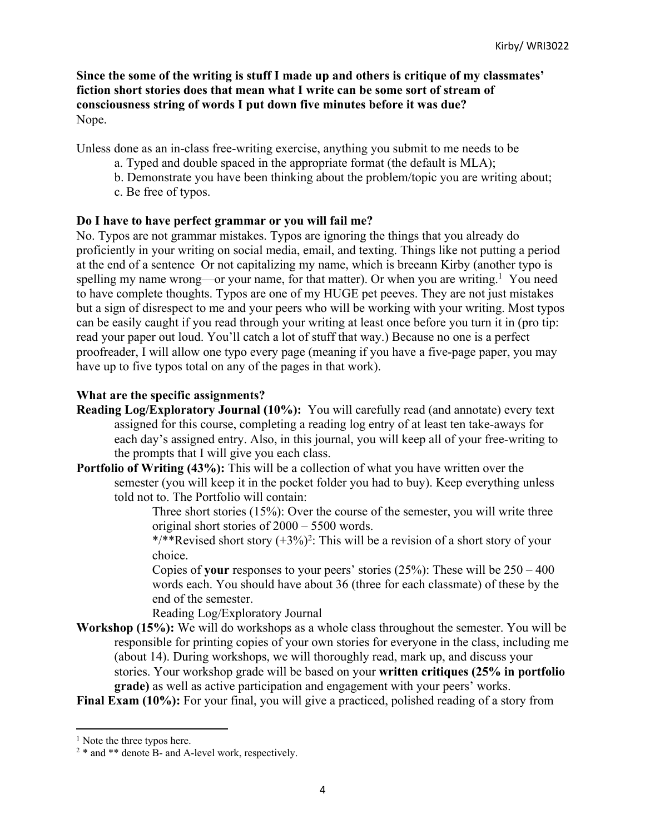## **Since the some of the writing is stuff I made up and others is critique of my classmates' fiction short stories does that mean what I write can be some sort of stream of consciousness string of words I put down five minutes before it was due?** Nope.

Unless done as an in-class free-writing exercise, anything you submit to me needs to be

- a. Typed and double spaced in the appropriate format (the default is MLA);
- b. Demonstrate you have been thinking about the problem/topic you are writing about;
- c. Be free of typos.

## **Do I have to have perfect grammar or you will fail me?**

No. Typos are not grammar mistakes. Typos are ignoring the things that you already do proficiently in your writing on social media, email, and texting. Things like not putting a period at the end of a sentence Or not capitalizing my name, which is breeann Kirby (another typo is spelling my name wrong—or your name, for that matter). Or when you are writing.<sup>1</sup> You need to have complete thoughts. Typos are one of my HUGE pet peeves. They are not just mistakes but a sign of disrespect to me and your peers who will be working with your writing. Most typos can be easily caught if you read through your writing at least once before you turn it in (pro tip: read your paper out loud. You'll catch a lot of stuff that way.) Because no one is a perfect proofreader, I will allow one typo every page (meaning if you have a five-page paper, you may have up to five typos total on any of the pages in that work).

## **What are the specific assignments?**

- **Reading Log/Exploratory Journal (10%):** You will carefully read (and annotate) every text assigned for this course, completing a reading log entry of at least ten take-aways for each day's assigned entry. Also, in this journal, you will keep all of your free-writing to the prompts that I will give you each class.
- **Portfolio of Writing (43%):** This will be a collection of what you have written over the semester (you will keep it in the pocket folder you had to buy). Keep everything unless told not to. The Portfolio will contain:

Three short stories (15%): Over the course of the semester, you will write three original short stories of 2000 – 5500 words.

\*/\*\*Revised short story  $(+3\%)^2$ : This will be a revision of a short story of your choice.

Copies of **your** responses to your peers' stories  $(25%)$ : These will be  $250 - 400$ words each. You should have about 36 (three for each classmate) of these by the end of the semester.

Reading Log/Exploratory Journal

**Workshop (15%):** We will do workshops as a whole class throughout the semester. You will be responsible for printing copies of your own stories for everyone in the class, including me (about 14). During workshops, we will thoroughly read, mark up, and discuss your stories. Your workshop grade will be based on your **written critiques (25% in portfolio grade)** as well as active participation and engagement with your peers' works.

**Final Exam (10%):** For your final, you will give a practiced, polished reading of a story from

<sup>&</sup>lt;sup>1</sup> Note the three typos here.

<sup>&</sup>lt;sup>2</sup> \* and \*\* denote B- and A-level work, respectively.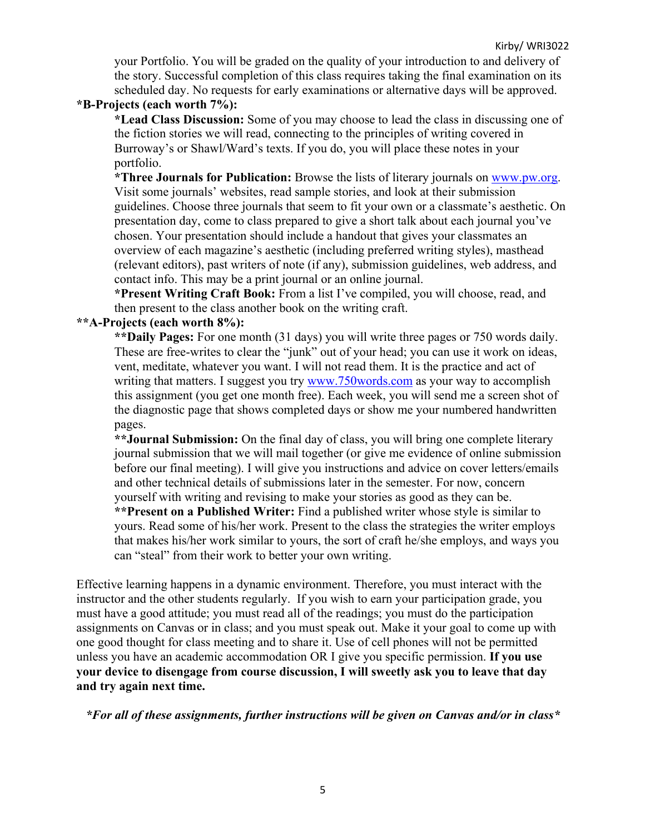your Portfolio. You will be graded on the quality of your introduction to and delivery of the story. Successful completion of this class requires taking the final examination on its scheduled day. No requests for early examinations or alternative days will be approved.

## **\*B-Projects (each worth 7%):**

**\*Lead Class Discussion:** Some of you may choose to lead the class in discussing one of the fiction stories we will read, connecting to the principles of writing covered in Burroway's or Shawl/Ward's texts. If you do, you will place these notes in your portfolio.

**\*Three Journals for Publication:** Browse the lists of literary journals on www.pw.org. Visit some journals' websites, read sample stories, and look at their submission guidelines. Choose three journals that seem to fit your own or a classmate's aesthetic. On presentation day, come to class prepared to give a short talk about each journal you've chosen. Your presentation should include a handout that gives your classmates an overview of each magazine's aesthetic (including preferred writing styles), masthead (relevant editors), past writers of note (if any), submission guidelines, web address, and contact info. This may be a print journal or an online journal.

**\*Present Writing Craft Book:** From a list I've compiled, you will choose, read, and then present to the class another book on the writing craft.

## **\*\*A-Projects (each worth 8%):**

**\*\*Daily Pages:** For one month (31 days) you will write three pages or 750 words daily. These are free-writes to clear the "junk" out of your head; you can use it work on ideas, vent, meditate, whatever you want. I will not read them. It is the practice and act of writing that matters. I suggest you try www.750words.com as your way to accomplish this assignment (you get one month free). Each week, you will send me a screen shot of the diagnostic page that shows completed days or show me your numbered handwritten pages.

**\*\*Journal Submission:** On the final day of class, you will bring one complete literary journal submission that we will mail together (or give me evidence of online submission before our final meeting). I will give you instructions and advice on cover letters/emails and other technical details of submissions later in the semester. For now, concern yourself with writing and revising to make your stories as good as they can be.

**\*\*Present on a Published Writer:** Find a published writer whose style is similar to yours. Read some of his/her work. Present to the class the strategies the writer employs that makes his/her work similar to yours, the sort of craft he/she employs, and ways you can "steal" from their work to better your own writing.

Effective learning happens in a dynamic environment. Therefore, you must interact with the instructor and the other students regularly. If you wish to earn your participation grade, you must have a good attitude; you must read all of the readings; you must do the participation assignments on Canvas or in class; and you must speak out. Make it your goal to come up with one good thought for class meeting and to share it. Use of cell phones will not be permitted unless you have an academic accommodation OR I give you specific permission. **If you use your device to disengage from course discussion, I will sweetly ask you to leave that day and try again next time.**

*\*For all of these assignments, further instructions will be given on Canvas and/or in class\**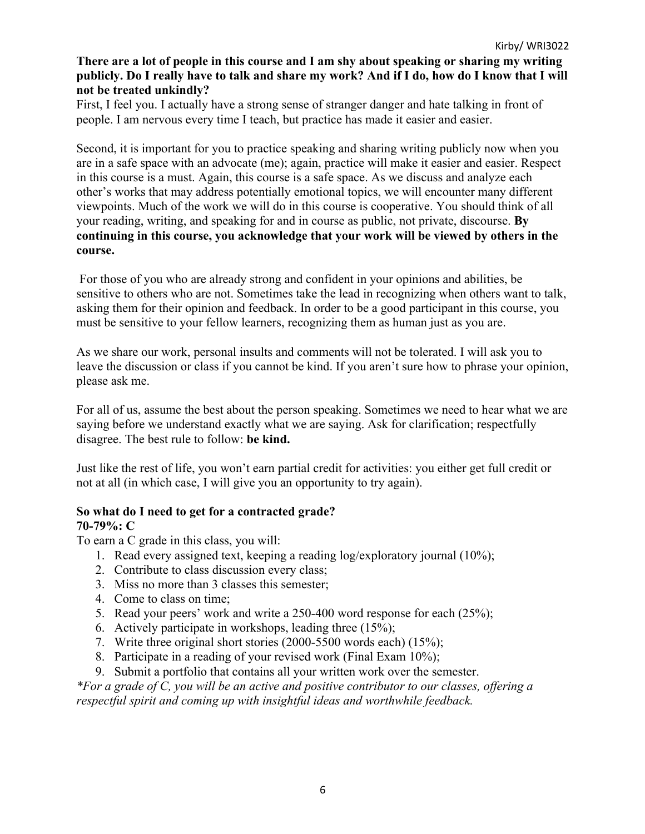# **There are a lot of people in this course and I am shy about speaking or sharing my writing publicly. Do I really have to talk and share my work? And if I do, how do I know that I will not be treated unkindly?**

First, I feel you. I actually have a strong sense of stranger danger and hate talking in front of people. I am nervous every time I teach, but practice has made it easier and easier.

Second, it is important for you to practice speaking and sharing writing publicly now when you are in a safe space with an advocate (me); again, practice will make it easier and easier. Respect in this course is a must. Again, this course is a safe space. As we discuss and analyze each other's works that may address potentially emotional topics, we will encounter many different viewpoints. Much of the work we will do in this course is cooperative. You should think of all your reading, writing, and speaking for and in course as public, not private, discourse. **By continuing in this course, you acknowledge that your work will be viewed by others in the course.**

For those of you who are already strong and confident in your opinions and abilities, be sensitive to others who are not. Sometimes take the lead in recognizing when others want to talk, asking them for their opinion and feedback. In order to be a good participant in this course, you must be sensitive to your fellow learners, recognizing them as human just as you are.

As we share our work, personal insults and comments will not be tolerated. I will ask you to leave the discussion or class if you cannot be kind. If you aren't sure how to phrase your opinion, please ask me.

For all of us, assume the best about the person speaking. Sometimes we need to hear what we are saying before we understand exactly what we are saying. Ask for clarification; respectfully disagree. The best rule to follow: **be kind.**

Just like the rest of life, you won't earn partial credit for activities: you either get full credit or not at all (in which case, I will give you an opportunity to try again).

### **So what do I need to get for a contracted grade? 70-79%: C**

To earn a C grade in this class, you will:

- 1. Read every assigned text, keeping a reading log/exploratory journal (10%);
- 2. Contribute to class discussion every class;
- 3. Miss no more than 3 classes this semester;
- 4. Come to class on time;
- 5. Read your peers' work and write a 250-400 word response for each (25%);
- 6. Actively participate in workshops, leading three (15%);
- 7. Write three original short stories (2000-5500 words each) (15%);
- 8. Participate in a reading of your revised work (Final Exam 10%);
- 9. Submit a portfolio that contains all your written work over the semester.

*\*For a grade of C, you will be an active and positive contributor to our classes, offering a respectful spirit and coming up with insightful ideas and worthwhile feedback.*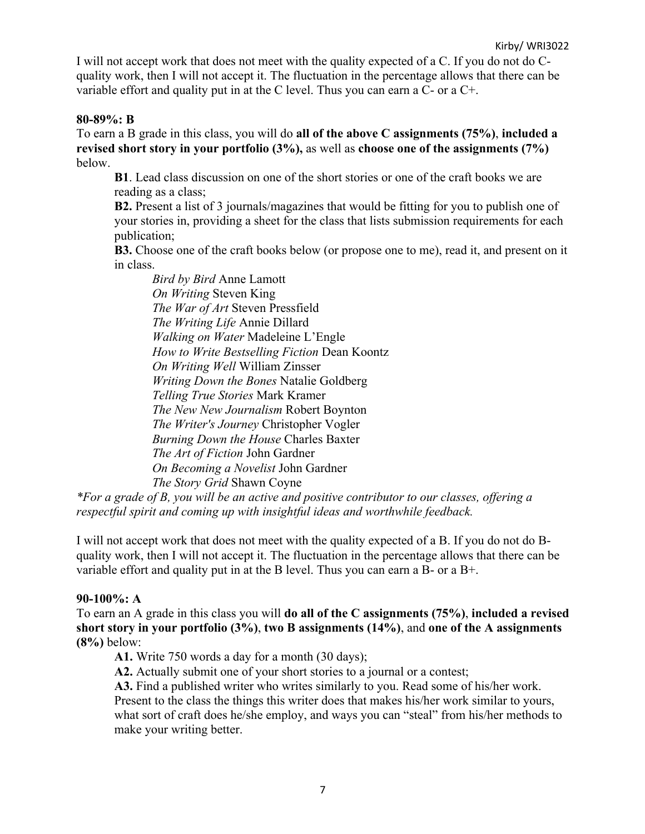I will not accept work that does not meet with the quality expected of a C. If you do not do Cquality work, then I will not accept it. The fluctuation in the percentage allows that there can be variable effort and quality put in at the C level. Thus you can earn a C- or a C+.

### **80-89%: B**

To earn a B grade in this class, you will do **all of the above C assignments (75%)**, **included a revised short story in your portfolio (3%),** as well as **choose one of the assignments (7%)** below.

**B1**. Lead class discussion on one of the short stories or one of the craft books we are reading as a class;

**B2.** Present a list of 3 journals/magazines that would be fitting for you to publish one of your stories in, providing a sheet for the class that lists submission requirements for each publication;

**B3.** Choose one of the craft books below (or propose one to me), read it, and present on it in class.

*Bird by Bird* Anne Lamott *On Writing* Steven King *The War of Art* Steven Pressfield *The Writing Life* Annie Dillard *Walking on Water* Madeleine L'Engle *How to Write Bestselling Fiction* Dean Koontz *On Writing Well* William Zinsser *Writing Down the Bones* Natalie Goldberg *Telling True Stories* Mark Kramer *The New New Journalism* Robert Boynton *The Writer's Journey* Christopher Vogler *Burning Down the House* Charles Baxter *The Art of Fiction* John Gardner *On Becoming a Novelist* John Gardner *The Story Grid* Shawn Coyne

*\*For a grade of B, you will be an active and positive contributor to our classes, offering a respectful spirit and coming up with insightful ideas and worthwhile feedback.*

I will not accept work that does not meet with the quality expected of a B. If you do not do Bquality work, then I will not accept it. The fluctuation in the percentage allows that there can be variable effort and quality put in at the B level. Thus you can earn a B- or a B+.

## **90-100%: A**

To earn an A grade in this class you will **do all of the C assignments (75%)**, **included a revised short story in your portfolio (3%)**, **two B assignments (14%)**, and **one of the A assignments (8%)** below:

**A1.** Write 750 words a day for a month (30 days);

**A2.** Actually submit one of your short stories to a journal or a contest;

**A3.** Find a published writer who writes similarly to you. Read some of his/her work. Present to the class the things this writer does that makes his/her work similar to yours, what sort of craft does he/she employ, and ways you can "steal" from his/her methods to make your writing better.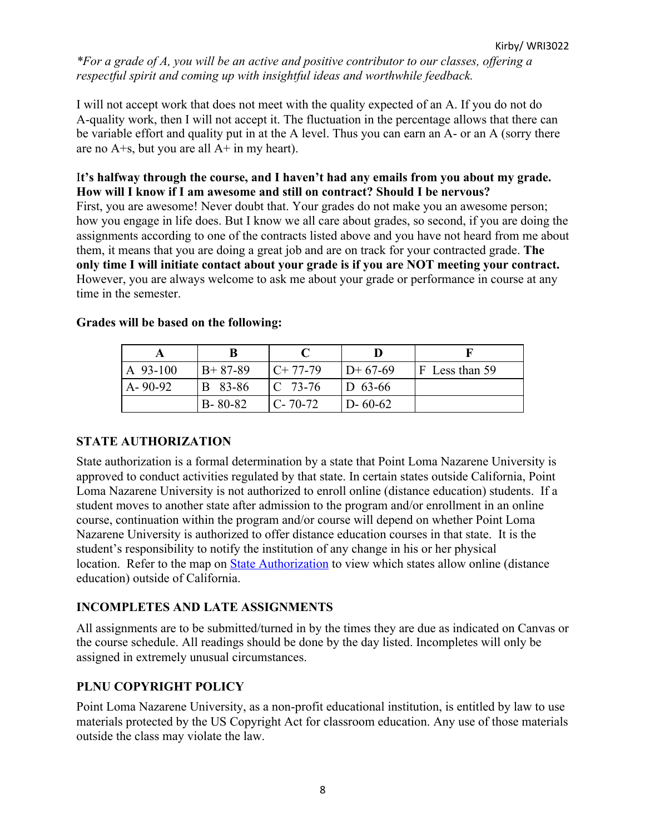*\*For a grade of A, you will be an active and positive contributor to our classes, offering a respectful spirit and coming up with insightful ideas and worthwhile feedback.*

I will not accept work that does not meet with the quality expected of an A. If you do not do A-quality work, then I will not accept it. The fluctuation in the percentage allows that there can be variable effort and quality put in at the A level. Thus you can earn an A- or an A (sorry there are no  $A + s$ , but you are all  $A + in$  my heart).

## I**t's halfway through the course, and I haven't had any emails from you about my grade. How will I know if I am awesome and still on contract? Should I be nervous?**

First, you are awesome! Never doubt that. Your grades do not make you an awesome person; how you engage in life does. But I know we all care about grades, so second, if you are doing the assignments according to one of the contracts listed above and you have not heard from me about them, it means that you are doing a great job and are on track for your contracted grade. **The only time I will initiate contact about your grade is if you are NOT meeting your contract.** However, you are always welcome to ask me about your grade or performance in course at any time in the semester.

| $A$ 93-100    | $B+87-89$     | $C+77-79$     | $ID+67-69$    | <b>F</b> Less than 59 |
|---------------|---------------|---------------|---------------|-----------------------|
| $A - 90 - 92$ | B 83-86       | $ C 73-76 $   | $ D 63-66 $   |                       |
|               | $B - 80 - 82$ | $C - 70 - 72$ | $D - 60 - 62$ |                       |

## **Grades will be based on the following:**

# **STATE AUTHORIZATION**

State authorization is a formal determination by a state that Point Loma Nazarene University is approved to conduct activities regulated by that state. In certain states outside California, Point Loma Nazarene University is not authorized to enroll online (distance education) students. If a student moves to another state after admission to the program and/or enrollment in an online course, continuation within the program and/or course will depend on whether Point Loma Nazarene University is authorized to offer distance education courses in that state. It is the student's responsibility to notify the institution of any change in his or her physical location. Refer to the map on State Authorization to view which states allow online (distance education) outside of California.

# **INCOMPLETES AND LATE ASSIGNMENTS**

All assignments are to be submitted/turned in by the times they are due as indicated on Canvas or the course schedule. All readings should be done by the day listed. Incompletes will only be assigned in extremely unusual circumstances.

# **PLNU COPYRIGHT POLICY**

Point Loma Nazarene University, as a non-profit educational institution, is entitled by law to use materials protected by the US Copyright Act for classroom education. Any use of those materials outside the class may violate the law.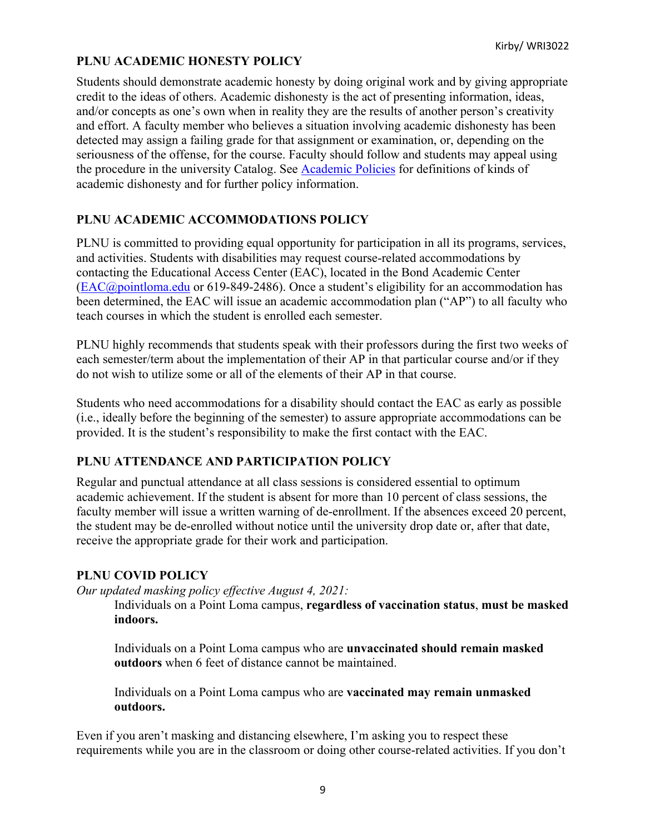# **PLNU ACADEMIC HONESTY POLICY**

Students should demonstrate academic honesty by doing original work and by giving appropriate credit to the ideas of others. Academic dishonesty is the act of presenting information, ideas, and/or concepts as one's own when in reality they are the results of another person's creativity and effort. A faculty member who believes a situation involving academic dishonesty has been detected may assign a failing grade for that assignment or examination, or, depending on the seriousness of the offense, for the course. Faculty should follow and students may appeal using the procedure in the university Catalog. See Academic Policies for definitions of kinds of academic dishonesty and for further policy information.

# **PLNU ACADEMIC ACCOMMODATIONS POLICY**

PLNU is committed to providing equal opportunity for participation in all its programs, services, and activities. Students with disabilities may request course-related accommodations by contacting the Educational Access Center (EAC), located in the Bond Academic Center (EAC@pointloma.edu or 619-849-2486). Once a student's eligibility for an accommodation has been determined, the EAC will issue an academic accommodation plan ("AP") to all faculty who teach courses in which the student is enrolled each semester.

PLNU highly recommends that students speak with their professors during the first two weeks of each semester/term about the implementation of their AP in that particular course and/or if they do not wish to utilize some or all of the elements of their AP in that course.

Students who need accommodations for a disability should contact the EAC as early as possible (i.e., ideally before the beginning of the semester) to assure appropriate accommodations can be provided. It is the student's responsibility to make the first contact with the EAC.

# **PLNU ATTENDANCE AND PARTICIPATION POLICY**

Regular and punctual attendance at all class sessions is considered essential to optimum academic achievement. If the student is absent for more than 10 percent of class sessions, the faculty member will issue a written warning of de-enrollment. If the absences exceed 20 percent, the student may be de-enrolled without notice until the university drop date or, after that date, receive the appropriate grade for their work and participation.

## **PLNU COVID POLICY**

*Our updated masking policy effective August 4, 2021:*

Individuals on a Point Loma campus, **regardless of vaccination status**, **must be masked indoors.**

Individuals on a Point Loma campus who are **unvaccinated should remain masked outdoors** when 6 feet of distance cannot be maintained.

Individuals on a Point Loma campus who are **vaccinated may remain unmasked outdoors.**

Even if you aren't masking and distancing elsewhere, I'm asking you to respect these requirements while you are in the classroom or doing other course-related activities. If you don't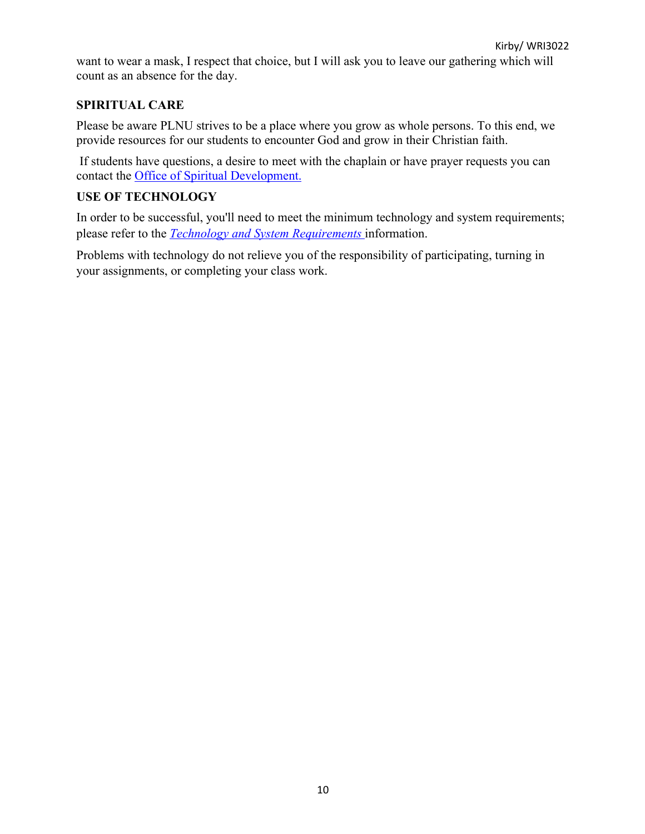want to wear a mask, I respect that choice, but I will ask you to leave our gathering which will count as an absence for the day.

# **SPIRITUAL CARE**

Please be aware PLNU strives to be a place where you grow as whole persons. To this end, we provide resources for our students to encounter God and grow in their Christian faith.

If students have questions, a desire to meet with the chaplain or have prayer requests you can contact the Office of Spiritual Development.

## **USE OF TECHNOLOGY**

In order to be successful, you'll need to meet the minimum technology and system requirements; please refer to the *Technology and System Requirements* information.

Problems with technology do not relieve you of the responsibility of participating, turning in your assignments, or completing your class work.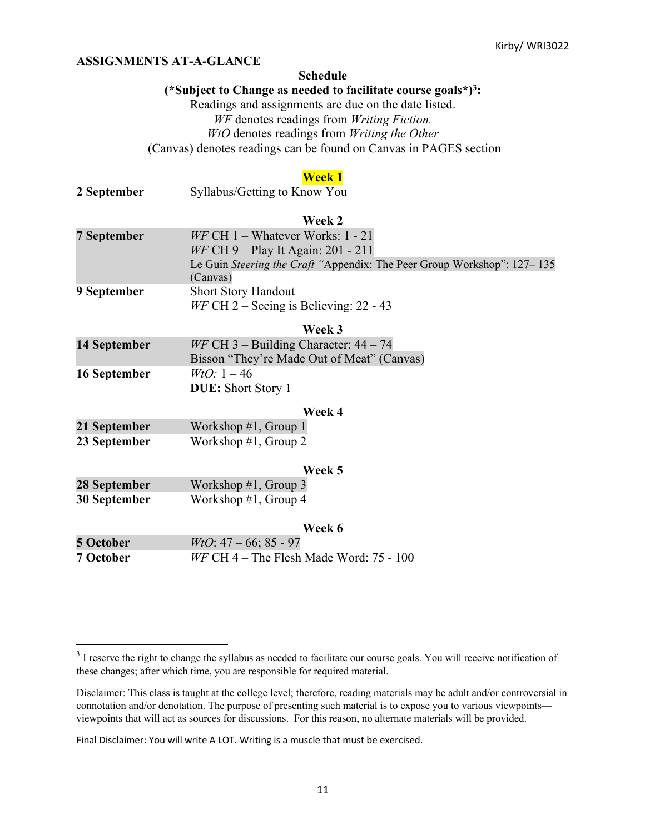## **ASSIGNMENTS AT-A-GLANCE**

#### **Schedule**

### **(\*Subject to Change as needed to facilitate course goals\*)3 :**

Readings and assignments are due on the date listed. *WF* denotes readings from *Writing Fiction. WtO* denotes readings from *Writing the Other* (Canvas) denotes readings can be found on Canvas in PAGES section

## **Week 1**

| 2 September | Syllabus/Getting to Know You |
|-------------|------------------------------|
|-------------|------------------------------|

#### **Week 2**

| 7 September | $W F$ CH 1 – Whatever Works: 1 - 21<br><i>WF</i> CH 9 – Play It Again: 201 - 211    |
|-------------|-------------------------------------------------------------------------------------|
|             | Le Guin Steering the Craft "Appendix: The Peer Group Workshop": 127–135<br>(Canvas) |
| 9 September | <b>Short Story Handout</b><br>$WF$ CH 2 – Seeing is Believing: 22 - 43              |

|--|--|

| 14 September | $W F CH 3 - Building Character: 44 - 74$   |
|--------------|--------------------------------------------|
|              | Bisson "They're Made Out of Meat" (Canvas) |
| 16 September | $WtO: 1-46$                                |
|              | <b>DUE:</b> Short Story 1                  |

#### **Week 4**

| 21 September | Workshop $#1$ , Group 1  |
|--------------|--------------------------|
| 23 September | Workshop $\#1$ , Group 2 |

#### **Week 5**

| 28 September | Workshop $#1$ , Group 3  |
|--------------|--------------------------|
| 30 September | Workshop $\#1$ , Group 4 |

#### **Week 6**

| <b>5 October</b> | $WtO: 47-66; 85-97$                       |
|------------------|-------------------------------------------|
| 7 October        | $WF$ CH 4 – The Flesh Made Word: 75 - 100 |

Final Disclaimer: You will write A LOT. Writing is a muscle that must be exercised.

<sup>&</sup>lt;sup>3</sup> I reserve the right to change the syllabus as needed to facilitate our course goals. You will receive notification of these changes; after which time, you are responsible for required material.

Disclaimer: This class is taught at the college level; therefore, reading materials may be adult and/or controversial in connotation and/or denotation. The purpose of presenting such material is to expose you to various viewpoints viewpoints that will act as sources for discussions. For this reason, no alternate materials will be provided.